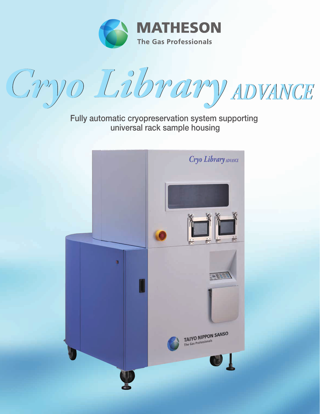



Fully automatic cryopreservation system supporting universal rack sample housing